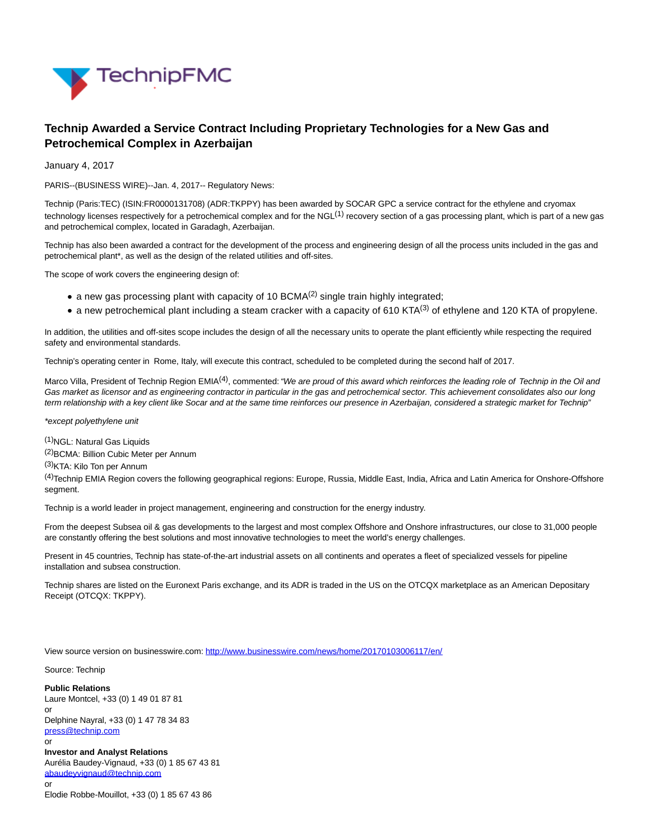

## **Technip Awarded a Service Contract Including Proprietary Technologies for a New Gas and Petrochemical Complex in Azerbaijan**

January 4, 2017

PARIS--(BUSINESS WIRE)--Jan. 4, 2017-- Regulatory News:

Technip (Paris:TEC) (ISIN:FR0000131708) (ADR:TKPPY) has been awarded by SOCAR GPC a service contract for the ethylene and cryomax technology licenses respectively for a petrochemical complex and for the NGL $<sup>(1)</sup>$  recovery section of a gas processing plant, which is part of a new gas</sup> and petrochemical complex, located in Garadagh, Azerbaijan.

Technip has also been awarded a contract for the development of the process and engineering design of all the process units included in the gas and petrochemical plant\*, as well as the design of the related utilities and off-sites.

The scope of work covers the engineering design of:

- a new gas processing plant with capacity of 10 BCMA $(2)$  single train highly integrated;
- a new petrochemical plant including a steam cracker with a capacity of 610 KTA<sup>(3)</sup> of ethylene and 120 KTA of propylene.

In addition, the utilities and off-sites scope includes the design of all the necessary units to operate the plant efficiently while respecting the required safety and environmental standards.

Technip's operating center in Rome, Italy, will execute this contract, scheduled to be completed during the second half of 2017.

Marco Villa, President of Technip Region EMIA<sup>(4)</sup>, commented: "We are proud of this award which reinforces the leading role of Technip in the Oil and Gas market as licensor and as engineering contractor in particular in the gas and petrochemical sector. This achievement consolidates also our long term relationship with a key client like Socar and at the same time reinforces our presence in Azerbaijan, considered a strategic market for Technip"

\*except polyethylene unit

(1)NGL: Natural Gas Liquids

(2) BCMA: Billion Cubic Meter per Annum

(3)KTA: Kilo Ton per Annum

(4)Technip EMIA Region covers the following geographical regions: Europe, Russia, Middle East, India, Africa and Latin America for Onshore-Offshore segment.

Technip is a world leader in project management, engineering and construction for the energy industry.

From the deepest Subsea oil & gas developments to the largest and most complex Offshore and Onshore infrastructures, our close to 31,000 people are constantly offering the best solutions and most innovative technologies to meet the world's energy challenges.

Present in 45 countries, Technip has state-of-the-art industrial assets on all continents and operates a fleet of specialized vessels for pipeline installation and subsea construction.

Technip shares are listed on the Euronext Paris exchange, and its ADR is traded in the US on the OTCQX marketplace as an American Depositary Receipt (OTCQX: TKPPY).

View source version on businesswire.com:<http://www.businesswire.com/news/home/20170103006117/en/>

Source: Technip

**Public Relations** Laure Montcel, +33 (0) 1 49 01 87 81 or Delphine Nayral, +33 (0) 1 47 78 34 83 [press@technip.com](mailto:press@technip.com) or **Investor and Analyst Relations** Aurélia Baudey-Vignaud, +33 (0) 1 85 67 43 81 [abaudeyvignaud@technip.com](mailto:abaudeyvignaud@technip.com) or

Elodie Robbe-Mouillot, +33 (0) 1 85 67 43 86